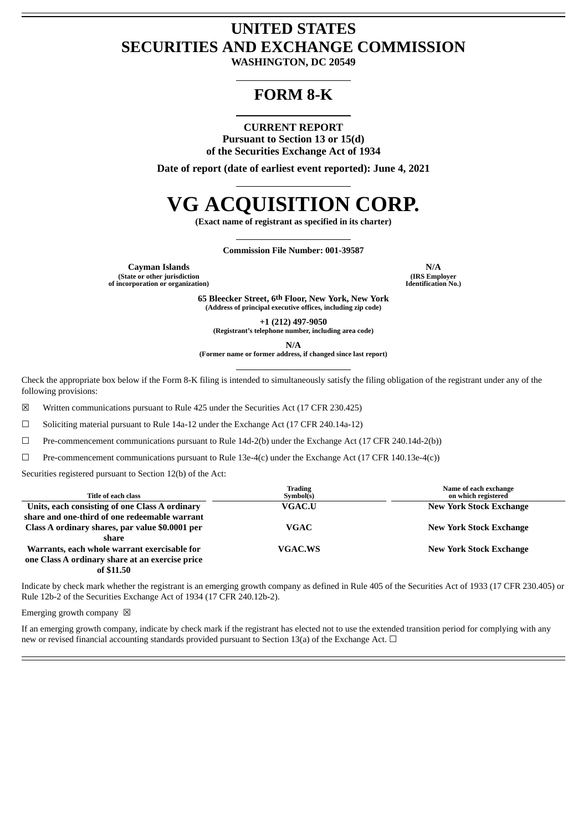## **UNITED STATES SECURITIES AND EXCHANGE COMMISSION**

**WASHINGTON, DC 20549**

### **FORM 8-K**

#### **CURRENT REPORT Pursuant to Section 13 or 15(d) of the Securities Exchange Act of 1934**

**Date of report (date of earliest event reported): June 4, 2021**

# **VG ACQUISITION CORP.**

**(Exact name of registrant as specified in its charter)**

**Commission File Number: 001-39587**

**Cayman Islands N/A (State or other jurisdiction**

**of incorporation or organization)**

**(IRS Employer Identification No.)**

**65 Bleecker Street, 6th Floor, New York, New York (Address of principal executive offices, including zip code)**

**+1 (212) 497-9050**

**(Registrant's telephone number, including area code)**

**N/A**

**(Former name or former address, if changed since last report)**

Check the appropriate box below if the Form 8-K filing is intended to simultaneously satisfy the filing obligation of the registrant under any of the following provisions:

☒ Written communications pursuant to Rule 425 under the Securities Act (17 CFR 230.425)

☐ Soliciting material pursuant to Rule 14a-12 under the Exchange Act (17 CFR 240.14a-12)

☐ Pre-commencement communications pursuant to Rule 14d-2(b) under the Exchange Act (17 CFR 240.14d-2(b))

 $\Box$  Pre-commencement communications pursuant to Rule 13e-4(c) under the Exchange Act (17 CFR 140.13e-4(c))

Securities registered pursuant to Section 12(b) of the Act:

| Title of each class                             | <b>Trading</b><br>Symbol(s) | Name of each exchange<br>on which registered |
|-------------------------------------------------|-----------------------------|----------------------------------------------|
| Units, each consisting of one Class A ordinary  | <b>VGAC.U</b>               | <b>New York Stock Exchange</b>               |
| share and one-third of one redeemable warrant   |                             |                                              |
| Class A ordinary shares, par value \$0.0001 per | VGAC                        | <b>New York Stock Exchange</b>               |
| share                                           |                             |                                              |
| Warrants, each whole warrant exercisable for    | <b>VGAC.WS</b>              | <b>New York Stock Exchange</b>               |
| one Class A ordinary share at an exercise price |                             |                                              |
| --------                                        |                             |                                              |

**of \$11.50**

Indicate by check mark whether the registrant is an emerging growth company as defined in Rule 405 of the Securities Act of 1933 (17 CFR 230.405) or Rule 12b-2 of the Securities Exchange Act of 1934 (17 CFR 240.12b-2).

Emerging growth company  $\boxtimes$ 

If an emerging growth company, indicate by check mark if the registrant has elected not to use the extended transition period for complying with any new or revised financial accounting standards provided pursuant to Section 13(a) of the Exchange Act.  $\Box$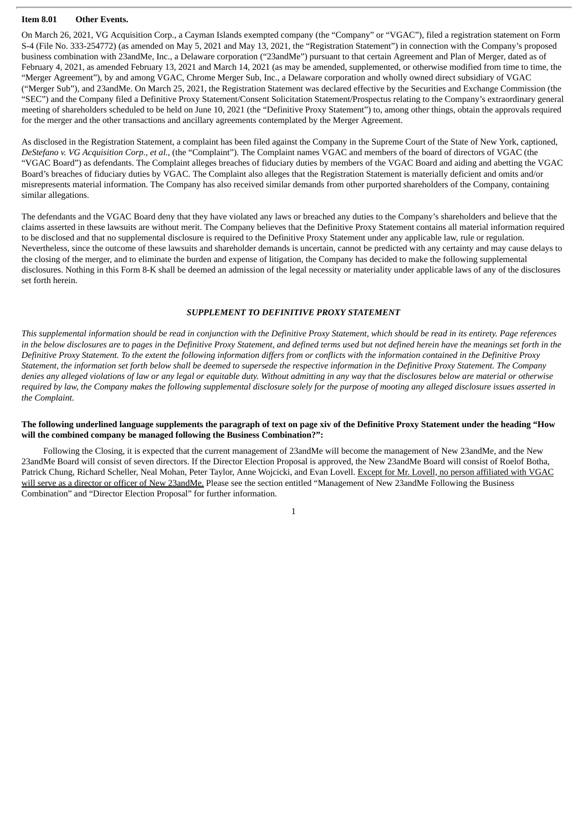#### **Item 8.01 Other Events.**

On March 26, 2021, VG Acquisition Corp., a Cayman Islands exempted company (the "Company" or "VGAC"), filed a registration statement on Form S-4 (File No. 333-254772) (as amended on May 5, 2021 and May 13, 2021, the "Registration Statement") in connection with the Company's proposed business combination with 23andMe, Inc., a Delaware corporation ("23andMe") pursuant to that certain Agreement and Plan of Merger, dated as of February 4, 2021, as amended February 13, 2021 and March 14, 2021 (as may be amended, supplemented, or otherwise modified from time to time, the "Merger Agreement"), by and among VGAC, Chrome Merger Sub, Inc., a Delaware corporation and wholly owned direct subsidiary of VGAC ("Merger Sub"), and 23andMe. On March 25, 2021, the Registration Statement was declared effective by the Securities and Exchange Commission (the "SEC") and the Company filed a Definitive Proxy Statement/Consent Solicitation Statement/Prospectus relating to the Company's extraordinary general meeting of shareholders scheduled to be held on June 10, 2021 (the "Definitive Proxy Statement") to, among other things, obtain the approvals required for the merger and the other transactions and ancillary agreements contemplated by the Merger Agreement.

As disclosed in the Registration Statement, a complaint has been filed against the Company in the Supreme Court of the State of New York, captioned, *DeStefano v. VG Acquisition Corp., et al.*, (the "Complaint"). The Complaint names VGAC and members of the board of directors of VGAC (the "VGAC Board") as defendants. The Complaint alleges breaches of fiduciary duties by members of the VGAC Board and aiding and abetting the VGAC Board's breaches of fiduciary duties by VGAC. The Complaint also alleges that the Registration Statement is materially deficient and omits and/or misrepresents material information. The Company has also received similar demands from other purported shareholders of the Company, containing similar allegations.

The defendants and the VGAC Board deny that they have violated any laws or breached any duties to the Company's shareholders and believe that the claims asserted in these lawsuits are without merit. The Company believes that the Definitive Proxy Statement contains all material information required to be disclosed and that no supplemental disclosure is required to the Definitive Proxy Statement under any applicable law, rule or regulation. Nevertheless, since the outcome of these lawsuits and shareholder demands is uncertain, cannot be predicted with any certainty and may cause delays to the closing of the merger, and to eliminate the burden and expense of litigation, the Company has decided to make the following supplemental disclosures. Nothing in this Form 8-K shall be deemed an admission of the legal necessity or materiality under applicable laws of any of the disclosures set forth herein.

#### *SUPPLEMENT TO DEFINITIVE PROXY STATEMENT*

This supplemental information should be read in conjunction with the Definitive Proxy Statement, which should be read in its entirety. Page references in the below disclosures are to pages in the Definitive Proxy Statement, and defined terms used but not defined herein have the megnings set forth in the Definitive Proxy Statement. To the extent the following information differs from or conflicts with the information contained in the Definitive Proxy Statement, the information set forth below shall be deemed to supersede the respective information in the Definitive Proxy Statement. The Company denies any alleged violations of law or any legal or equitable duty. Without admitting in any way that the disclosures below are material or otherwise required by law, the Company makes the following supplemental disclosure solely for the purpose of mooting any alleged disclosure issues asserted in *the Complaint.*

#### The following underlined language supplements the paragraph of text on page xiv of the Definitive Proxy Statement under the heading "How **will the combined company be managed following the Business Combination?":**

Following the Closing, it is expected that the current management of 23andMe will become the management of New 23andMe, and the New 23andMe Board will consist of seven directors. If the Director Election Proposal is approved, the New 23andMe Board will consist of Roelof Botha, Patrick Chung, Richard Scheller, Neal Mohan, Peter Taylor, Anne Wojcicki, and Evan Lovell. Except for Mr. Lovell, no person affiliated with VGAC will serve as a director or officer of New 23andMe. Please see the section entitled "Management of New 23andMe Following the Business Combination" and "Director Election Proposal" for further information.

1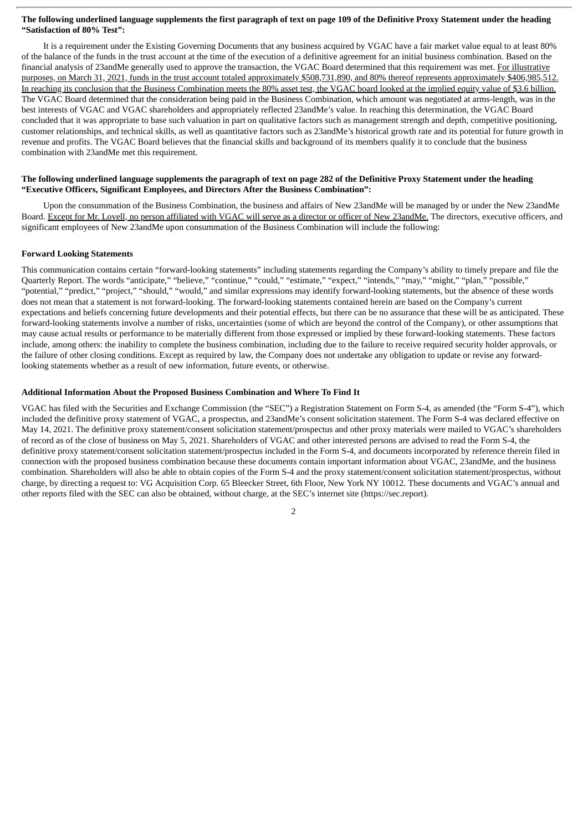#### The following underlined language supplements the first paragraph of text on page 109 of the Definitive Proxy Statement under the heading **"Satisfaction of 80% Test":**

It is a requirement under the Existing Governing Documents that any business acquired by VGAC have a fair market value equal to at least 80% of the balance of the funds in the trust account at the time of the execution of a definitive agreement for an initial business combination. Based on the financial analysis of 23andMe generally used to approve the transaction, the VGAC Board determined that this requirement was met. For illustrative purposes, on March 31, 2021, funds in the trust account totaled approximately \$508,731,890, and 80% thereof represents approximately \$406,985,512. In reaching its conclusion that the Business Combination meets the 80% asset test, the VGAC board looked at the implied equity value of \$3.6 billion. The VGAC Board determined that the consideration being paid in the Business Combination, which amount was negotiated at arms-length, was in the best interests of VGAC and VGAC shareholders and appropriately reflected 23andMe's value. In reaching this determination, the VGAC Board concluded that it was appropriate to base such valuation in part on qualitative factors such as management strength and depth, competitive positioning, customer relationships, and technical skills, as well as quantitative factors such as 23andMe's historical growth rate and its potential for future growth in revenue and profits. The VGAC Board believes that the financial skills and background of its members qualify it to conclude that the business combination with 23andMe met this requirement.

#### The following underlined language supplements the paragraph of text on page 282 of the Definitive Proxy Statement under the heading **"Executive Officers, Significant Employees, and Directors After the Business Combination":**

Upon the consummation of the Business Combination, the business and affairs of New 23andMe will be managed by or under the New 23andMe Board. Except for Mr. Lovell, no person affiliated with VGAC will serve as a director or officer of New 23andMe. The directors, executive officers, and significant employees of New 23andMe upon consummation of the Business Combination will include the following:

#### **Forward Looking Statements**

This communication contains certain "forward-looking statements" including statements regarding the Company's ability to timely prepare and file the Quarterly Report. The words "anticipate," "believe," "continue," "could," "estimate," "expect," "intends," "may," "might," "plan," "possible," "potential," "predict," "project," "should," "would," and similar expressions may identify forward-looking statements, but the absence of these words does not mean that a statement is not forward-looking. The forward-looking statements contained herein are based on the Company's current expectations and beliefs concerning future developments and their potential effects, but there can be no assurance that these will be as anticipated. These forward-looking statements involve a number of risks, uncertainties (some of which are beyond the control of the Company), or other assumptions that may cause actual results or performance to be materially different from those expressed or implied by these forward-looking statements. These factors include, among others: the inability to complete the business combination, including due to the failure to receive required security holder approvals, or the failure of other closing conditions. Except as required by law, the Company does not undertake any obligation to update or revise any forwardlooking statements whether as a result of new information, future events, or otherwise.

#### **Additional Information About the Proposed Business Combination and Where To Find It**

VGAC has filed with the Securities and Exchange Commission (the "SEC") a Registration Statement on Form S-4, as amended (the "Form S-4"), which included the definitive proxy statement of VGAC, a prospectus, and 23andMe's consent solicitation statement. The Form S-4 was declared effective on May 14, 2021. The definitive proxy statement/consent solicitation statement/prospectus and other proxy materials were mailed to VGAC's shareholders of record as of the close of business on May 5, 2021. Shareholders of VGAC and other interested persons are advised to read the Form S-4, the definitive proxy statement/consent solicitation statement/prospectus included in the Form S-4, and documents incorporated by reference therein filed in connection with the proposed business combination because these documents contain important information about VGAC, 23andMe, and the business combination. Shareholders will also be able to obtain copies of the Form S-4 and the proxy statement/consent solicitation statement/prospectus, without charge, by directing a request to: VG Acquisition Corp. 65 Bleecker Street, 6th Floor, New York NY 10012. These documents and VGAC's annual and other reports filed with the SEC can also be obtained, without charge, at the SEC's internet site (https://sec.report).

 $\overline{2}$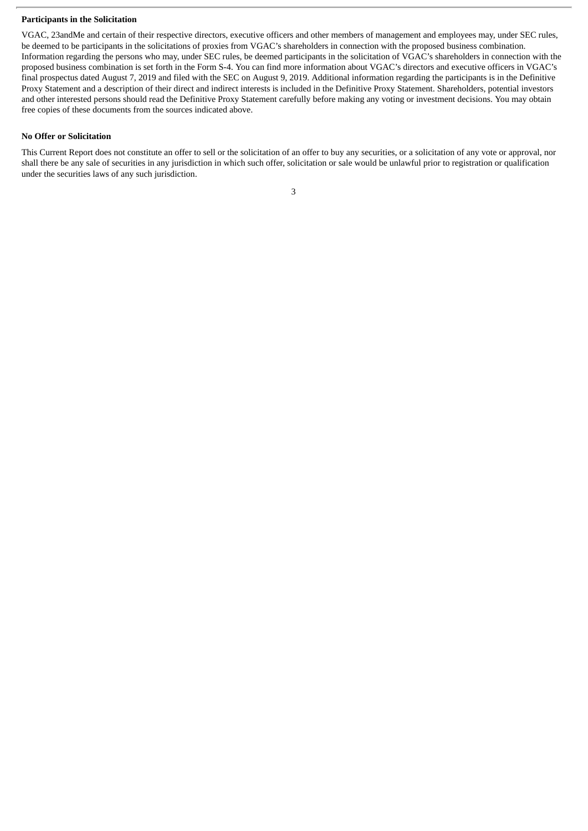#### **Participants in the Solicitation**

VGAC, 23andMe and certain of their respective directors, executive officers and other members of management and employees may, under SEC rules, be deemed to be participants in the solicitations of proxies from VGAC's shareholders in connection with the proposed business combination. Information regarding the persons who may, under SEC rules, be deemed participants in the solicitation of VGAC's shareholders in connection with the proposed business combination is set forth in the Form S-4. You can find more information about VGAC's directors and executive officers in VGAC's final prospectus dated August 7, 2019 and filed with the SEC on August 9, 2019. Additional information regarding the participants is in the Definitive Proxy Statement and a description of their direct and indirect interests is included in the Definitive Proxy Statement. Shareholders, potential investors and other interested persons should read the Definitive Proxy Statement carefully before making any voting or investment decisions. You may obtain free copies of these documents from the sources indicated above.

#### **No Offer or Solicitation**

This Current Report does not constitute an offer to sell or the solicitation of an offer to buy any securities, or a solicitation of any vote or approval, nor shall there be any sale of securities in any jurisdiction in which such offer, solicitation or sale would be unlawful prior to registration or qualification under the securities laws of any such jurisdiction.